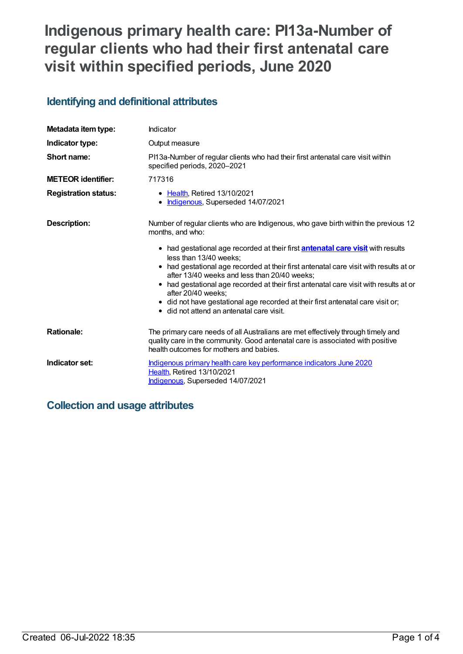# **Indigenous primary health care: PI13a-Number of regular clients who had their first antenatal care visit within specified periods, June 2020**

## **Identifying and definitional attributes**

| Metadata item type:         | Indicator                                                                                                                                                                                                     |
|-----------------------------|---------------------------------------------------------------------------------------------------------------------------------------------------------------------------------------------------------------|
| Indicator type:             | Output measure                                                                                                                                                                                                |
| Short name:                 | PI13a-Number of regular clients who had their first antenatal care visit within<br>specified periods, 2020-2021                                                                                               |
| <b>METEOR identifier:</b>   | 717316                                                                                                                                                                                                        |
| <b>Registration status:</b> | • Health, Retired 13/10/2021<br>• Indigenous, Superseded 14/07/2021                                                                                                                                           |
| <b>Description:</b>         | Number of regular clients who are Indigenous, who gave birth within the previous 12<br>months, and who:                                                                                                       |
|                             | • had gestational age recorded at their first <b>antenatal care visit</b> with results<br>less than 13/40 weeks;                                                                                              |
|                             | • had gestational age recorded at their first antenatal care visit with results at or<br>after 13/40 weeks and less than 20/40 weeks;                                                                         |
|                             | • had gestational age recorded at their first antenatal care visit with results at or<br>after 20/40 weeks;                                                                                                   |
|                             | • did not have gestational age recorded at their first antenatal care visit or;<br>• did not attend an antenatal care visit.                                                                                  |
| <b>Rationale:</b>           | The primary care needs of all Australians are met effectively through timely and<br>quality care in the community. Good antenatal care is associated with positive<br>health outcomes for mothers and babies. |
| Indicator set:              | Indigenous primary health care key performance indicators June 2020<br>Health, Retired 13/10/2021<br>Indigenous, Superseded 14/07/2021                                                                        |

## **Collection and usage attributes**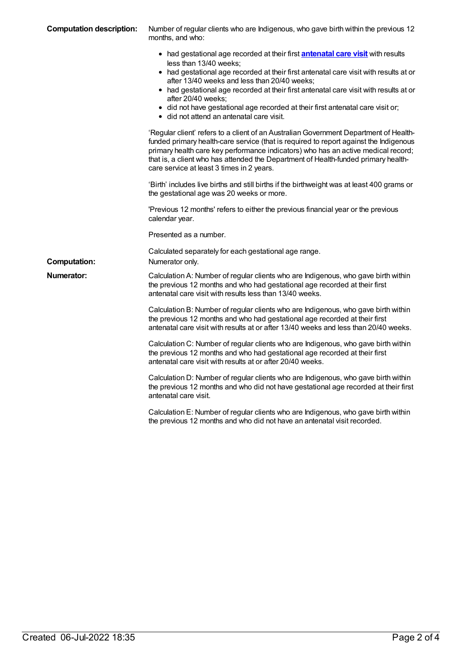| <b>Computation description:</b> | Number of regular clients who are Indigenous, who gave birth within the previous 12<br>months, and who:                                                                                                                                                                                                                                                                                                                                                                                                                                                                                           |  |
|---------------------------------|---------------------------------------------------------------------------------------------------------------------------------------------------------------------------------------------------------------------------------------------------------------------------------------------------------------------------------------------------------------------------------------------------------------------------------------------------------------------------------------------------------------------------------------------------------------------------------------------------|--|
|                                 | • had gestational age recorded at their first <b>antenatal care visit</b> with results<br>less than 13/40 weeks;<br>• had gestational age recorded at their first antenatal care visit with results at or<br>after 13/40 weeks and less than 20/40 weeks;<br>• had gestational age recorded at their first antenatal care visit with results at or<br>after 20/40 weeks;<br>• did not have gestational age recorded at their first antenatal care visit or;<br>• did not attend an antenatal care visit.<br>'Regular client' refers to a client of an Australian Government Department of Health- |  |
|                                 | funded primary health-care service (that is required to report against the Indigenous<br>primary health care key performance indicators) who has an active medical record;<br>that is, a client who has attended the Department of Health-funded primary health-<br>care service at least 3 times in 2 years.                                                                                                                                                                                                                                                                                     |  |
|                                 | 'Birth' includes live births and still births if the birthweight was at least 400 grams or<br>the gestational age was 20 weeks or more.                                                                                                                                                                                                                                                                                                                                                                                                                                                           |  |
|                                 | 'Previous 12 months' refers to either the previous financial year or the previous<br>calendar year.                                                                                                                                                                                                                                                                                                                                                                                                                                                                                               |  |
|                                 | Presented as a number.                                                                                                                                                                                                                                                                                                                                                                                                                                                                                                                                                                            |  |
| <b>Computation:</b>             | Calculated separately for each gestational age range.<br>Numerator only.                                                                                                                                                                                                                                                                                                                                                                                                                                                                                                                          |  |
| <b>Numerator:</b>               | Calculation A: Number of regular clients who are Indigenous, who gave birth within<br>the previous 12 months and who had gestational age recorded at their first<br>antenatal care visit with results less than 13/40 weeks.                                                                                                                                                                                                                                                                                                                                                                      |  |
|                                 | Calculation B: Number of regular clients who are Indigenous, who gave birth within<br>the previous 12 months and who had gestational age recorded at their first<br>antenatal care visit with results at or after 13/40 weeks and less than 20/40 weeks.                                                                                                                                                                                                                                                                                                                                          |  |
|                                 | Calculation C: Number of regular clients who are Indigenous, who gave birth within<br>the previous 12 months and who had gestational age recorded at their first<br>antenatal care visit with results at or after 20/40 weeks.                                                                                                                                                                                                                                                                                                                                                                    |  |
|                                 | Calculation D: Number of regular clients who are Indigenous, who gave birth within<br>the previous 12 months and who did not have gestational age recorded at their first<br>antenatal care visit.                                                                                                                                                                                                                                                                                                                                                                                                |  |
|                                 | Calculation E: Number of regular clients who are Indigenous, who gave birth within<br>the previous 12 months and who did not have an antenatal visit recorded.                                                                                                                                                                                                                                                                                                                                                                                                                                    |  |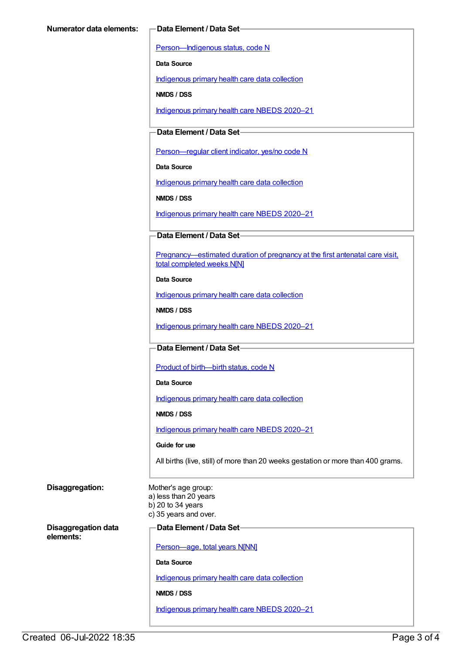[Person—Indigenous](https://meteor.aihw.gov.au/content/602543) status, code N

**Data Source**

[Indigenous](https://meteor.aihw.gov.au/content/430643) primary health care data collection

**NMDS / DSS**

[Indigenous](https://meteor.aihw.gov.au/content/715320) primary health care NBEDS 2020–21

#### **Data Element / Data Set**

Person-regular client indicator, yes/no code N

**Data Source**

[Indigenous](https://meteor.aihw.gov.au/content/430643) primary health care data collection

**NMDS / DSS**

[Indigenous](https://meteor.aihw.gov.au/content/715320) primary health care NBEDS 2020–21

#### **Data Element / Data Set**

[Pregnancy—estimated](https://meteor.aihw.gov.au/content/695410) duration of pregnancy at the first antenatal care visit, total completed weeks N[N]

#### **Data Source**

[Indigenous](https://meteor.aihw.gov.au/content/430643) primary health care data collection

**NMDS / DSS**

[Indigenous](https://meteor.aihw.gov.au/content/715320) primary health care NBEDS 2020–21

#### **Data Element / Data Set**

Product of [birth—birth](https://meteor.aihw.gov.au/content/695437) status, code N

#### **Data Source**

[Indigenous](https://meteor.aihw.gov.au/content/430643) primary health care data collection

#### **NMDS / DSS**

[Indigenous](https://meteor.aihw.gov.au/content/715320) primary health care NBEDS 2020–21

#### **Guide for use**

All births (live, still) of more than 20 weeks gestation or more than 400 grams.

| Disaggregation:                         | Mother's age group:<br>a) less than 20 years<br>b) 20 to 34 years<br>c) 35 years and over. |
|-----------------------------------------|--------------------------------------------------------------------------------------------|
| <b>Disaggregation data</b><br>elements: | Data Element / Data Set                                                                    |
|                                         | Person-age, total years N[NN]                                                              |
|                                         | Data Source                                                                                |
|                                         | Indigenous primary health care data collection                                             |
|                                         | NMDS / DSS                                                                                 |
|                                         | Indigenous primary health care NBEDS 2020-21                                               |